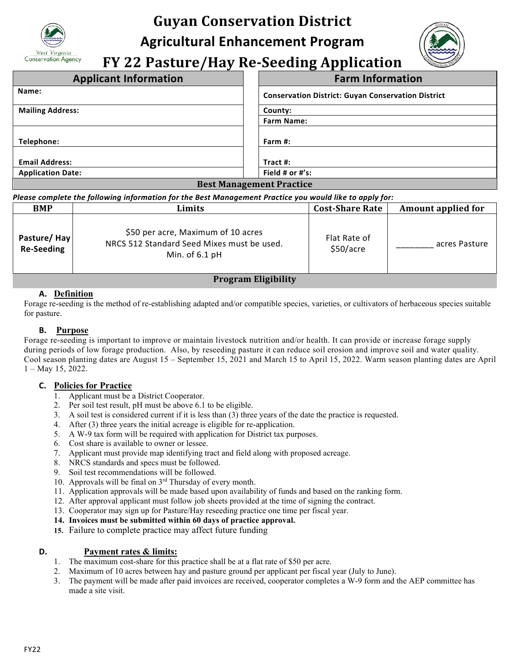

# **Guyan Conservation District**

**Agricultural Enhancement Program**

**FY 22 Pasture/Hay Re-Seeding Application**

| <b>Applicant Information</b>    | <b>Farm Information</b>                                   |  |
|---------------------------------|-----------------------------------------------------------|--|
| Name:                           | <b>Conservation District: Guyan Conservation District</b> |  |
| <b>Mailing Address:</b>         | County:                                                   |  |
|                                 | <b>Farm Name:</b>                                         |  |
|                                 |                                                           |  |
| Telephone:                      | Farm $#$ :                                                |  |
|                                 |                                                           |  |
| <b>Email Address:</b>           | Tract #:                                                  |  |
| <b>Application Date:</b>        | Field # or $#$ 's:                                        |  |
| <b>Best Management Practice</b> |                                                           |  |

#### *Please complete the following information for the Best Management Practice you would like to apply for:*

| <b>BMP</b>                                                                                                                                                                                                                                                                                                                         | Limits                                                                                               | <b>Cost-Share Rate</b>    | <b>Amount applied for</b> |  |
|------------------------------------------------------------------------------------------------------------------------------------------------------------------------------------------------------------------------------------------------------------------------------------------------------------------------------------|------------------------------------------------------------------------------------------------------|---------------------------|---------------------------|--|
| Pasture/Hay<br><b>Re-Seeding</b>                                                                                                                                                                                                                                                                                                   | \$50 per acre, Maximum of 10 acres<br>NRCS 512 Standard Seed Mixes must be used.<br>Min. of $6.1$ pH | Flat Rate of<br>\$50/acre | acres Pasture             |  |
| $\mathbf{r}$ $\mathbf{r}$ $\mathbf{r}$ $\mathbf{r}$ $\mathbf{r}$ $\mathbf{r}$ $\mathbf{r}$ $\mathbf{r}$ $\mathbf{r}$ $\mathbf{r}$ $\mathbf{r}$ $\mathbf{r}$ $\mathbf{r}$ $\mathbf{r}$ $\mathbf{r}$ $\mathbf{r}$ $\mathbf{r}$ $\mathbf{r}$ $\mathbf{r}$ $\mathbf{r}$ $\mathbf{r}$ $\mathbf{r}$ $\mathbf{r}$ $\mathbf{r}$ $\mathbf{$ |                                                                                                      |                           |                           |  |

## **Program Eligibility**

## **A. Definition**

Forage re-seeding is the method of re-establishing adapted and/or compatible species, varieties, or cultivators of herbaceous species suitable for pasture.

#### **B. Purpose**

Forage re-seeding is important to improve or maintain livestock nutrition and/or health. It can provide or increase forage supply during periods of low forage production. Also, by reseeding pasture it can reduce soil erosion and improve soil and water quality. Cool season planting dates are August 15 – September 15, 2021 and March 15 to April 15, 2022. Warm season planting dates are April 1 – May 15, 2022.

#### **C. Policies for Practice**

- 1. Applicant must be a District Cooperator.
- 2. Per soil test result, pH must be above 6.1 to be eligible.
- 3. A soil test is considered current if it is less than (3) three years of the date the practice is requested. 4. After (3) three years the initial acreage is eligible for re-application.
- 
- 5. A W-9 tax form will be required with application for District tax purposes.
- 6. Cost share is available to owner or lessee.
- 7. Applicant must provide map identifying tract and field along with proposed acreage.
- 8. NRCS standards and specs must be followed.
- 9. Soil test recommendations will be followed.
- 10. Approvals will be final on 3rd Thursday of every month.
- 11. Application approvals will be made based upon availability of funds and based on the ranking form.
- 12. After approval applicant must follow job sheets provided at the time of signing the contract.
- 13. Cooperator may sign up for Pasture/Hay reseeding practice one time per fiscal year.
- **14. Invoices must be submitted within 60 days of practice approval.**
- **15.** Failure to complete practice may affect future funding

#### **D. Payment rates & limits:**

- 1. The maximum cost-share for this practice shall be at a flat rate of \$50 per acre.
- 2. Maximum of 10 acres between hay and pasture ground per applicant per fiscal year (July to June).
- 3. The payment will be made after paid invoices are received, cooperator completes a W-9 form and the AEP committee has made a site visit.